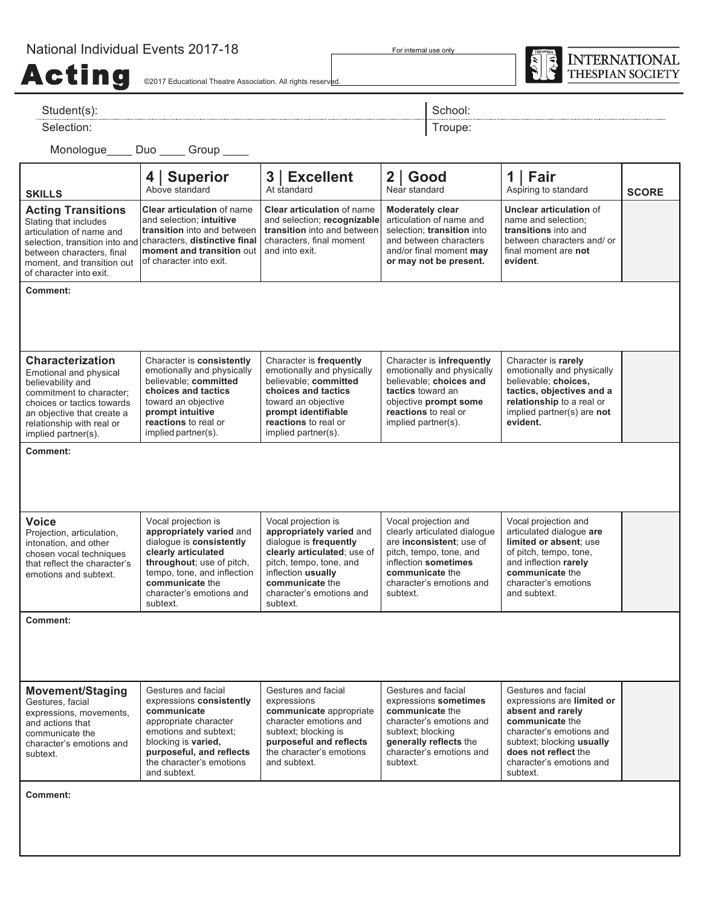## National Individual Events 2017-18

For internal use only



Acting  $\epsilon$  ing  $\epsilon$  and  $\epsilon$ 

| Student(s):                                                                                                                                                                                                        |                                                                                                                                                                                                                           |                                                                                                                                                                                                                      | School:                                                                                                                                                                                        |                                                                                                                                                                                                                    |              |  |
|--------------------------------------------------------------------------------------------------------------------------------------------------------------------------------------------------------------------|---------------------------------------------------------------------------------------------------------------------------------------------------------------------------------------------------------------------------|----------------------------------------------------------------------------------------------------------------------------------------------------------------------------------------------------------------------|------------------------------------------------------------------------------------------------------------------------------------------------------------------------------------------------|--------------------------------------------------------------------------------------------------------------------------------------------------------------------------------------------------------------------|--------------|--|
| Selection:                                                                                                                                                                                                         |                                                                                                                                                                                                                           | Troupe:                                                                                                                                                                                                              |                                                                                                                                                                                                |                                                                                                                                                                                                                    |              |  |
|                                                                                                                                                                                                                    | Monologue_____ Duo _____ Group ____                                                                                                                                                                                       |                                                                                                                                                                                                                      |                                                                                                                                                                                                |                                                                                                                                                                                                                    |              |  |
| <b>SKILLS</b>                                                                                                                                                                                                      | 4   Superior<br>Above standard                                                                                                                                                                                            | 3   Excellent<br>At standard                                                                                                                                                                                         | $2  $ Good<br>Near standard                                                                                                                                                                    | 1   Fair<br>Aspiring to standard                                                                                                                                                                                   | <b>SCORE</b> |  |
| <b>Acting Transitions</b><br>Slating that includes<br>articulation of name and<br>selection, transition into and<br>between characters, final<br>moment, and transition out<br>of character into exit.             | <b>Clear articulation of name</b><br>and selection; intuitive<br>transition into and between<br>characters, distinctive final<br>moment and transition out<br>of character into exit.                                     | <b>Clear articulation of name</b><br>and selection; recognizable<br>transition into and between<br>characters, final moment<br>and into exit.                                                                        | <b>Moderately clear</b><br>articulation of name and<br>selection: transition into<br>and between characters<br>and/or final moment may<br>or may not be present.                               | <b>Unclear articulation of</b><br>name and selection;<br>transitions into and<br>between characters and/ or<br>final moment are not<br>evident.                                                                    |              |  |
| <b>Comment:</b>                                                                                                                                                                                                    |                                                                                                                                                                                                                           |                                                                                                                                                                                                                      |                                                                                                                                                                                                |                                                                                                                                                                                                                    |              |  |
| <b>Characterization</b><br>Emotional and physical<br>believability and<br>commitment to character;<br>choices or tactics towards<br>an objective that create a<br>relationship with real or<br>implied partner(s). | Character is consistently<br>emotionally and physically<br>believable: committed<br>choices and tactics<br>toward an objective<br>prompt intuitive<br>reactions to real or<br>implied partner(s).                         | Character is frequently<br>emotionally and physically<br>believable; committed<br>choices and tactics<br>toward an objective<br>prompt identifiable<br>reactions to real or<br>implied partner(s).                   | Character is infrequently<br>emotionally and physically<br>believable; choices and<br>tactics toward an<br>objective prompt some<br>reactions to real or<br>implied partner(s).                | Character is rarely<br>emotionally and physically<br>believable; choices,<br>tactics, objectives and a<br>relationship to a real or<br>implied partner(s) are not<br>evident.                                      |              |  |
| Comment:                                                                                                                                                                                                           |                                                                                                                                                                                                                           |                                                                                                                                                                                                                      |                                                                                                                                                                                                |                                                                                                                                                                                                                    |              |  |
| <b>Voice</b><br>Projection, articulation,<br>intonation, and other<br>chosen vocal techniques<br>that reflect the character's<br>emotions and subtext.                                                             | Vocal projection is<br>appropriately varied and<br>dialoque is consistently<br>clearly articulated<br>throughout; use of pitch,<br>tempo, tone, and inflection<br>communicate the<br>character's emotions and<br>subtext. | Vocal projection is<br>appropriately varied and<br>dialoque is frequently<br>clearly articulated; use of<br>pitch, tempo, tone, and<br>inflection usually<br>communicate the<br>character's emotions and<br>subtext. | Vocal projection and<br>clearly articulated dialogue<br>are inconsistent; use of<br>pitch, tempo, tone, and<br>inflection sometimes<br>communicate the<br>character's emotions and<br>subtext. | Vocal projection and<br>articulated dialogue are<br>limited or absent; use<br>of pitch, tempo, tone,<br>and inflection rarely<br>communicate the<br>character's emotions<br>and subtext.                           |              |  |
| <b>Comment:</b>                                                                                                                                                                                                    |                                                                                                                                                                                                                           |                                                                                                                                                                                                                      |                                                                                                                                                                                                |                                                                                                                                                                                                                    |              |  |
| <b>Movement/Staging</b><br>Gestures, facial<br>expressions, movements,<br>and actions that<br>communicate the<br>character's emotions and<br>subtext.                                                              | Gestures and facial<br>expressions consistently<br>communicate<br>appropriate character<br>emotions and subtext;<br>blocking is varied,<br>purposeful, and reflects<br>the character's emotions<br>and subtext.           | Gestures and facial<br>expressions<br>communicate appropriate<br>character emotions and<br>subtext; blocking is<br>purposeful and reflects<br>the character's emotions<br>and subtext.                               | Gestures and facial<br>expressions sometimes<br>communicate the<br>character's emotions and<br>subtext; blocking<br>generally reflects the<br>character's emotions and<br>subtext.             | Gestures and facial<br>expressions are limited or<br>absent and rarely<br>communicate the<br>character's emotions and<br>subtext; blocking usually<br>does not reflect the<br>character's emotions and<br>subtext. |              |  |
| Comment:                                                                                                                                                                                                           |                                                                                                                                                                                                                           |                                                                                                                                                                                                                      |                                                                                                                                                                                                |                                                                                                                                                                                                                    |              |  |